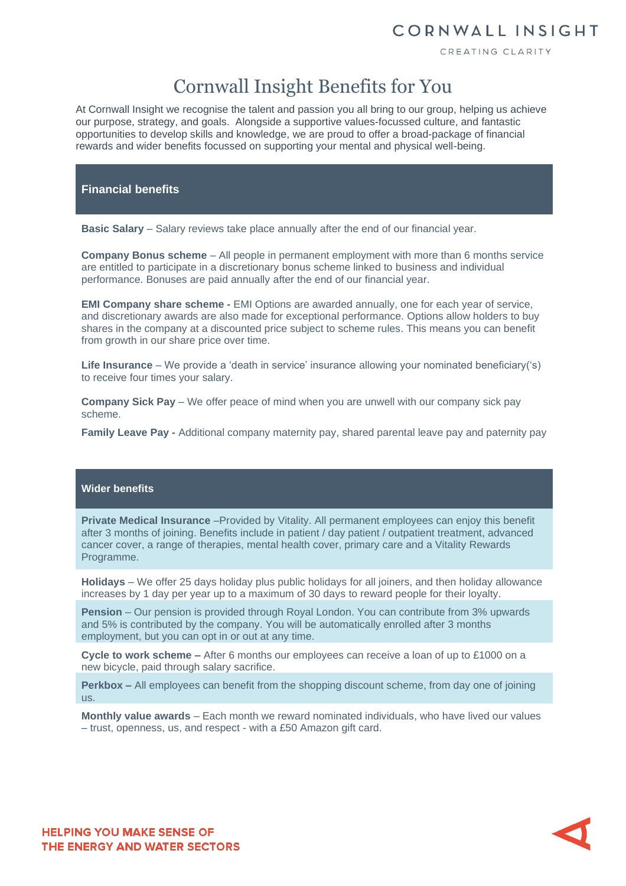### CORNWALL INSIGHT

CREATING CLARITY

# Cornwall Insight Benefits for You

At Cornwall Insight we recognise the talent and passion you all bring to our group, helping us achieve our purpose, strategy, and goals. Alongside a supportive values-focussed culture, and fantastic opportunities to develop skills and knowledge, we are proud to offer a broad-package of financial rewards and wider benefits focussed on supporting your mental and physical well-being.

#### **Financial benefits**

**Basic Salary** – Salary reviews take place annually after the end of our financial year.

**Company Bonus scheme** – All people in permanent employment with more than 6 months service are entitled to participate in a discretionary bonus scheme linked to business and individual performance. Bonuses are paid annually after the end of our financial year.

**EMI Company share scheme -** EMI Options are awarded annually, one for each year of service, and discretionary awards are also made for exceptional performance. Options allow holders to buy shares in the company at a discounted price subject to scheme rules. This means you can benefit from growth in our share price over time.

**Life Insurance** – We provide a 'death in service' insurance allowing your nominated beneficiary('s) to receive four times your salary.

**Company Sick Pay** – We offer peace of mind when you are unwell with our company sick pay scheme.

**Family Leave Pay -** Additional company maternity pay, shared parental leave pay and paternity pay

#### **Wider benefits**

**Private Medical Insurance** –Provided by Vitality. All permanent employees can enjoy this benefit after 3 months of joining. Benefits include in patient / day patient / outpatient treatment, advanced cancer cover, a range of therapies, mental health cover, primary care and a Vitality Rewards Programme.

**Holidays** – We offer 25 days holiday plus public holidays for all joiners, and then holiday allowance increases by 1 day per year up to a maximum of 30 days to reward people for their loyalty.

**Pension** – Our pension is provided through Royal London. You can contribute from 3% upwards and 5% is contributed by the company. You will be automatically enrolled after 3 months employment, but you can opt in or out at any time.

**Cycle to work scheme –** After 6 months our employees can receive a loan of up to £1000 on a new bicycle, paid through salary sacrifice.

**Perkbox –** All employees can benefit from the shopping discount scheme, from day one of joining us.

**Monthly value awards** – Each month we reward nominated individuals, who have lived our values – trust, openness, us, and respect - with a £50 Amazon gift card.